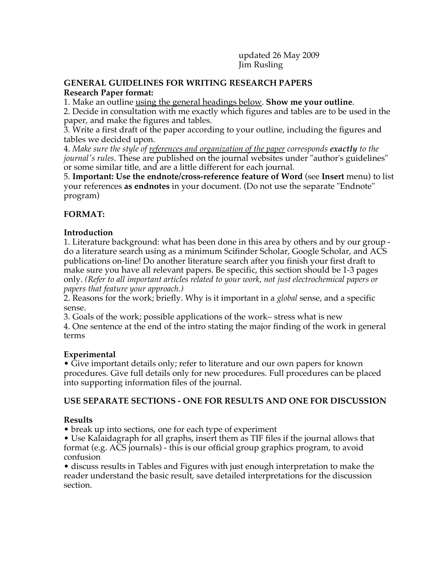updated 26 May 2009 Jim Rusling

#### **GENERAL GUIDELINES FOR WRITING RESEARCH PAPERS Research Paper format:**

1. Make an outline using the general headings below. **Show me your outline**.

2. Decide in consultation with me exactly which figures and tables are to be used in the paper, and make the figures and tables.

3. Write a first draft of the paper according to your outline, including the figures and tables we decided upon.

4. *Make sure the style of references and organization of the paper corresponds exactly to the journal's rules*. These are published on the journal websites under "author's guidelines" or some similar title, and are a little different for each journal.

5. **Important: Use the endnote/cross-reference feature of Word** (see **Insert** menu) to list your references **as endnotes** in your document. (Do not use the separate "Endnote" program)

# **FORMAT:**

#### **Introduction**

1. Literature background: what has been done in this area by others and by our group do a literature search using as a minimum Scifinder Scholar, Google Scholar, and ACS publications on-line! Do another literature search after you finish your first draft to make sure you have all relevant papers. Be specific, this section should be 1-3 pages only. *(Refer to all important articles related to your work, not just electrochemical papers or papers that feature your approach.)*

2. Reasons for the work; briefly. Why is it important in a *global* sense, and a specific sense.

3. Goals of the work; possible applications of the work– stress what is new

4. One sentence at the end of the intro stating the major finding of the work in general terms

# **Experimental**

• Give important details only; refer to literature and our own papers for known procedures. Give full details only for new procedures. Full procedures can be placed into supporting information files of the journal.

# **USE SEPARATE SECTIONS - ONE FOR RESULTS AND ONE FOR DISCUSSION**

# **Results**

• break up into sections, one for each type of experiment

• Use Kalaidagraph for all graphs, insert them as TIF files if the journal allows that format (e.g. ACS journals) - this is our official group graphics program, to avoid confusion

• discuss results in Tables and Figures with just enough interpretation to make the reader understand the basic result, save detailed interpretations for the discussion section.